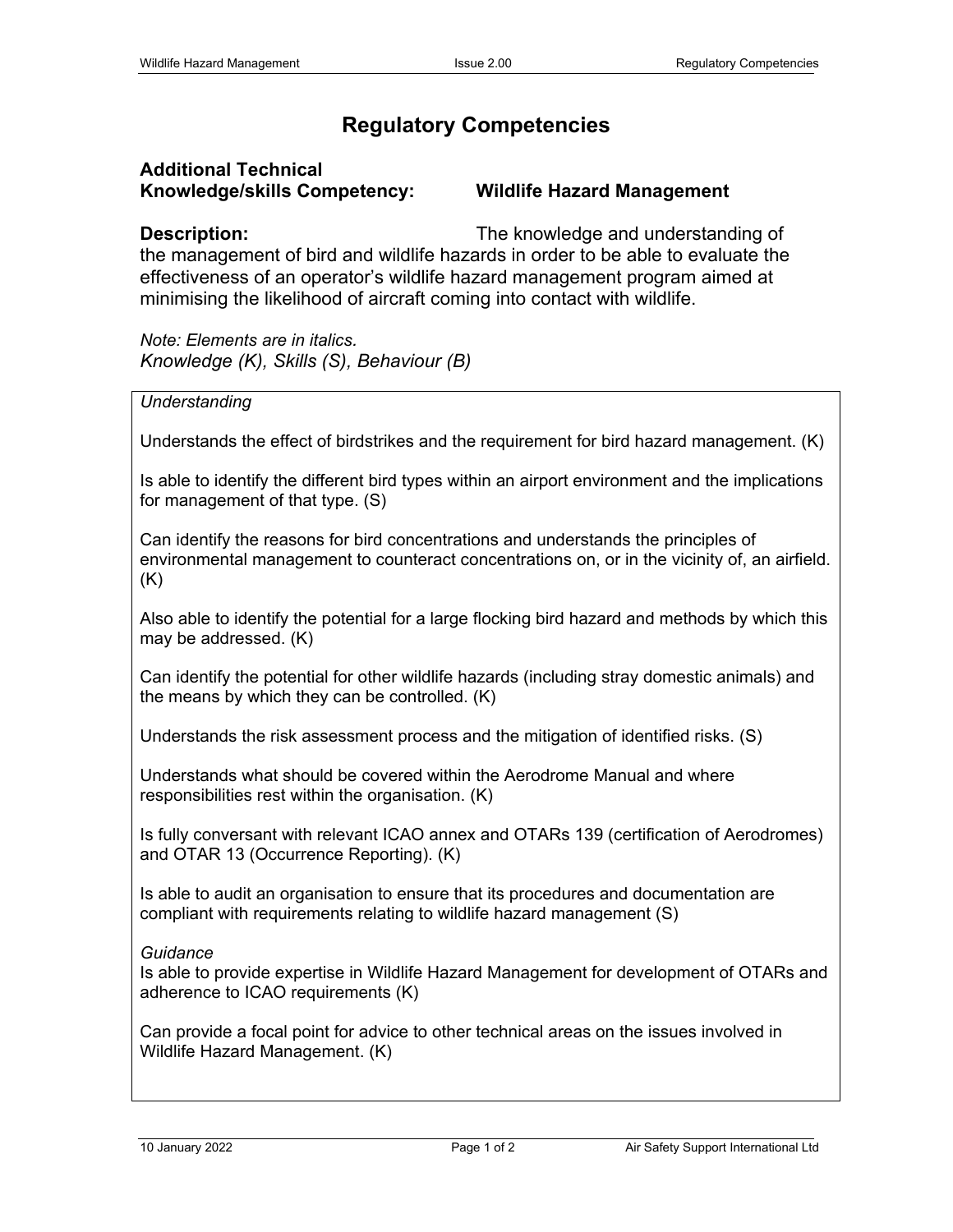## **Regulatory Competencies**

## **Additional Technical Knowledge/skills Competency: Wildlife Hazard Management**

**Description:** The knowledge and understanding of the management of bird and wildlife hazards in order to be able to evaluate the effectiveness of an operator's wildlife hazard management program aimed at minimising the likelihood of aircraft coming into contact with wildlife.

*Note: Elements are in italics. Knowledge (K), Skills (S), Behaviour (B)*

## *Understanding*

Understands the effect of birdstrikes and the requirement for bird hazard management. (K)

Is able to identify the different bird types within an airport environment and the implications for management of that type. (S)

Can identify the reasons for bird concentrations and understands the principles of environmental management to counteract concentrations on, or in the vicinity of, an airfield. (K)

Also able to identify the potential for a large flocking bird hazard and methods by which this may be addressed. (K)

Can identify the potential for other wildlife hazards (including stray domestic animals) and the means by which they can be controlled. (K)

Understands the risk assessment process and the mitigation of identified risks. (S)

Understands what should be covered within the Aerodrome Manual and where responsibilities rest within the organisation. (K)

Is fully conversant with relevant ICAO annex and OTARs 139 (certification of Aerodromes) and OTAR 13 (Occurrence Reporting). (K)

Is able to audit an organisation to ensure that its procedures and documentation are compliant with requirements relating to wildlife hazard management (S)

## *Guidance*

Is able to provide expertise in Wildlife Hazard Management for development of OTARs and adherence to ICAO requirements (K)

Can provide a focal point for advice to other technical areas on the issues involved in Wildlife Hazard Management. (K)